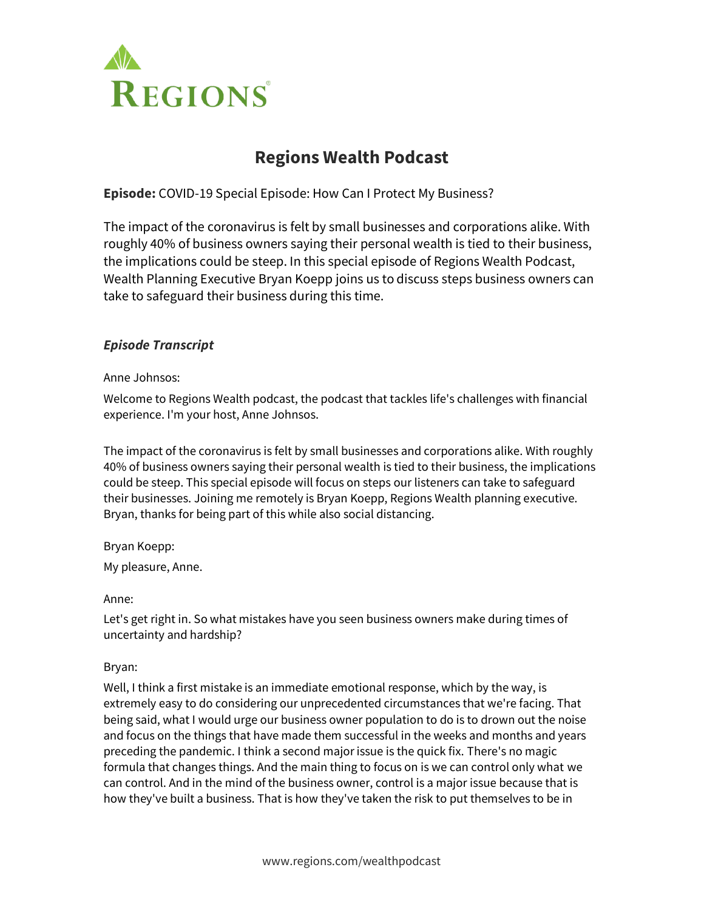

# **Regions Wealth Podcast**

**Episode:** COVID-19 Special Episode: How Can I Protect My Business?

The impact of the coronavirus is felt by small businesses and corporations alike. With roughly 40% of business owners saying their personal wealth is tied to their business, the implications could be steep. In this special episode of Regions Wealth Podcast, Wealth Planning Executive Bryan Koepp joins us to discuss steps business owners can take to safeguard their business during this time.

# *Episode Transcript*

Anne Johnsos:

Welcome to Regions Wealth podcast, the podcast that tackles life's challenges with financial experience. I'm your host, Anne Johnsos.

The impact of the coronavirus is felt by small businesses and corporations alike. With roughly 40% of business owners saying their personal wealth is tied to their business, the implications could be steep. This special episode will focus on steps our listeners can take to safeguard their businesses. Joining me remotely is Bryan Koepp, Regions Wealth planning executive. Bryan, thanks for being part of this while also social distancing.

# Bryan Koepp:

My pleasure, Anne.

# Anne:

Let's get right in. So what mistakes have you seen business owners make during times of uncertainty and hardship?

# Bryan:

Well, I think a first mistake is an immediate emotional response, which by the way, is extremely easy to do considering our unprecedented circumstances that we're facing. That being said, what I would urge our business owner population to do is to drown out the noise and focus on the things that have made them successful in the weeks and months and years preceding the pandemic. I think a second major issue is the quick fix. There's no magic formula that changes things. And the main thing to focus on is we can control only what we can control. And in the mind of the business owner, control is a major issue because that is how they've built a business. That is how they've taken the risk to put themselves to be in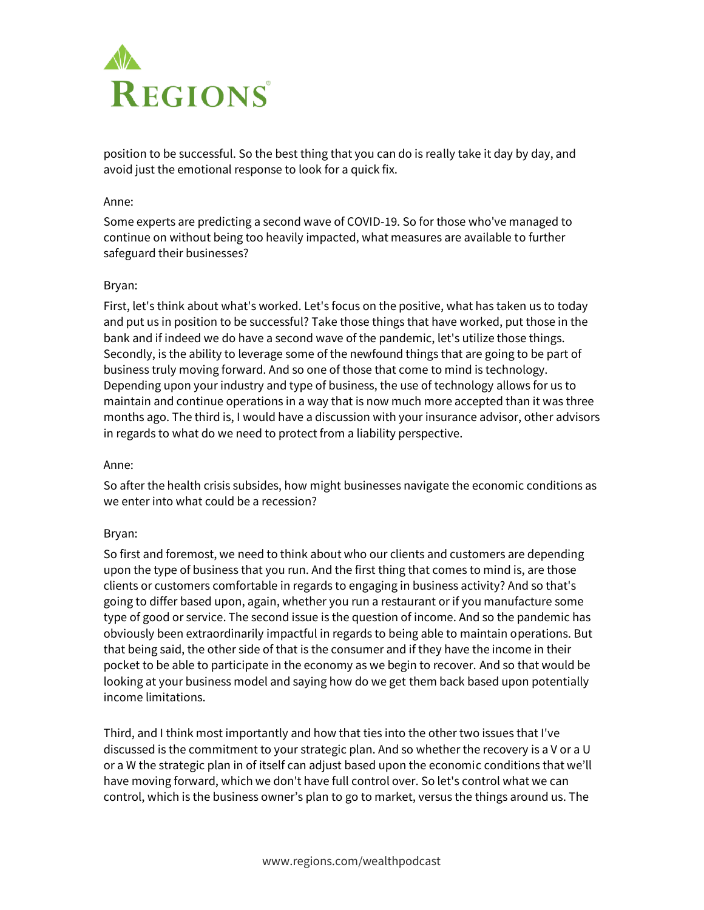

position to be successful. So the best thing that you can do is really take it day by day, and avoid just the emotional response to look for a quick fix.

#### Anne:

Some experts are predicting a second wave of COVID-19. So for those who've managed to continue on without being too heavily impacted, what measures are available to further safeguard their businesses?

# Bryan:

First, let's think about what's worked. Let's focus on the positive, what has taken us to today and put us in position to be successful? Take those things that have worked, put those in the bank and if indeed we do have a second wave of the pandemic, let's utilize those things. Secondly, is the ability to leverage some of the newfound things that are going to be part of business truly moving forward. And so one of those that come to mind is technology. Depending upon your industry and type of business, the use of technology allows for us to maintain and continue operations in a way that is now much more accepted than it was three months ago. The third is, I would have a discussion with your insurance advisor, other advisors in regards to what do we need to protect from a liability perspective.

#### Anne:

So after the health crisis subsides, how might businesses navigate the economic conditions as we enter into what could be a recession?

# Bryan:

So first and foremost, we need to think about who our clients and customers are depending upon the type of business that you run. And the first thing that comes to mind is, are those clients or customers comfortable in regards to engaging in business activity? And so that's going to differ based upon, again, whether you run a restaurant or if you manufacture some type of good or service. The second issue is the question of income. And so the pandemic has obviously been extraordinarily impactful in regards to being able to maintain operations. But that being said, the other side of that is the consumer and if they have the income in their pocket to be able to participate in the economy as we begin to recover. And so that would be looking at your business model and saying how do we get them back based upon potentially income limitations.

Third, and I think most importantly and how that ties into the other two issues that I've discussed is the commitment to your strategic plan. And so whether the recovery is a V or a U or a W the strategic plan in of itself can adjust based upon the economic conditions that we'll have moving forward, which we don't have full control over. So let's control what we can control, which is the business owner's plan to go to market, versus the things around us. The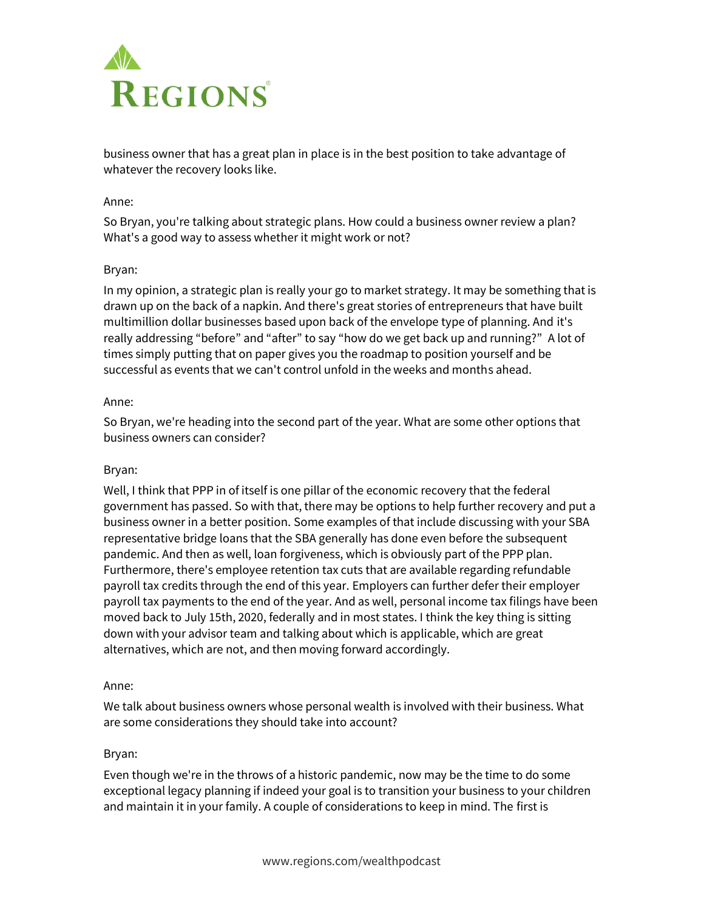

business owner that has a great plan in place is in the best position to take advantage of whatever the recovery looks like.

#### Anne:

So Bryan, you're talking about strategic plans. How could a business owner review a plan? What's a good way to assess whether it might work or not?

# Bryan:

In my opinion, a strategic plan is really your go to market strategy. It may be something that is drawn up on the back of a napkin. And there's great stories of entrepreneurs that have built multimillion dollar businesses based upon back of the envelope type of planning. And it's really addressing "before" and "after" to say "how do we get back up and running?" A lot of times simply putting that on paper gives you the roadmap to position yourself and be successful as events that we can't control unfold in the weeks and months ahead.

# Anne:

So Bryan, we're heading into the second part of the year. What are some other options that business owners can consider?

# Bryan:

Well, I think that PPP in of itself is one pillar of the economic recovery that the federal government has passed. So with that, there may be options to help further recovery and put a business owner in a better position. Some examples of that include discussing with your SBA representative bridge loans that the SBA generally has done even before the subsequent pandemic. And then as well, loan forgiveness, which is obviously part of the PPP plan. Furthermore, there's employee retention tax cuts that are available regarding refundable payroll tax credits through the end of this year. Employers can further defer their employer payroll tax payments to the end of the year. And as well, personal income tax filings have been moved back to July 15th, 2020, federally and in most states. I think the key thing is sitting down with your advisor team and talking about which is applicable, which are great alternatives, which are not, and then moving forward accordingly.

#### Anne:

We talk about business owners whose personal wealth is involved with their business. What are some considerations they should take into account?

#### Bryan:

Even though we're in the throws of a historic pandemic, now may be the time to do some exceptional legacy planning if indeed your goal is to transition your business to your children and maintain it in your family. A couple of considerations to keep in mind. The first is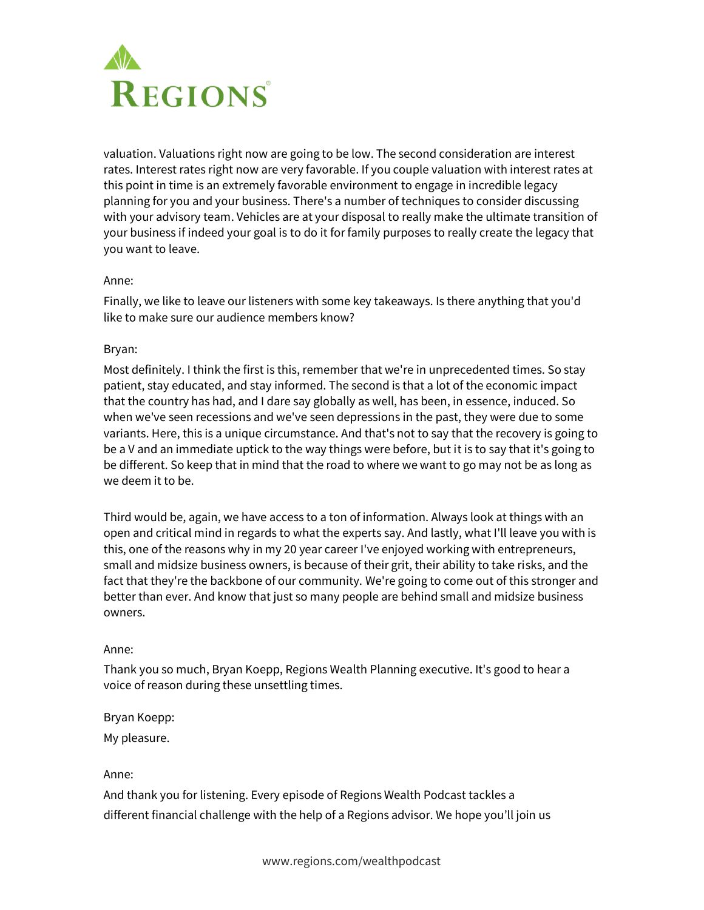

valuation. Valuations right now are going to be low. The second consideration are interest rates. Interest rates right now are very favorable. If you couple valuation with interest rates at this point in time is an extremely favorable environment to engage in incredible legacy planning for you and your business. There's a number of techniques to consider discussing with your advisory team. Vehicles are at your disposal to really make the ultimate transition of your business if indeed your goal is to do it for family purposes to really create the legacy that you want to leave.

#### Anne:

Finally, we like to leave our listeners with some key takeaways. Is there anything that you'd like to make sure our audience members know?

# Bryan:

Most definitely. I think the first is this, remember that we're in unprecedented times. So stay patient, stay educated, and stay informed. The second is that a lot of the economic impact that the country has had, and I dare say globally as well, has been, in essence, induced. So when we've seen recessions and we've seen depressions in the past, they were due to some variants. Here, this is a unique circumstance. And that's not to say that the recovery is going to be a V and an immediate uptick to the way things were before, but it is to say that it's going to be different. So keep that in mind that the road to where we want to go may not be as long as we deem it to be.

Third would be, again, we have access to a ton of information. Always look at things with an open and critical mind in regards to what the experts say. And lastly, what I'll leave you with is this, one of the reasons why in my 20 year career I've enjoyed working with entrepreneurs, small and midsize business owners, is because of their grit, their ability to take risks, and the fact that they're the backbone of our community. We're going to come out of this stronger and better than ever. And know that just so many people are behind small and midsize business owners.

#### Anne:

Thank you so much, Bryan Koepp, Regions Wealth Planning executive. It's good to hear a voice of reason during these unsettling times.

#### Bryan Koepp:

My pleasure.

#### Anne:

And thank you for listening. Every episode of Regions Wealth Podcast tackles a different financial challenge with the help of a Regions advisor. We hope you'll join us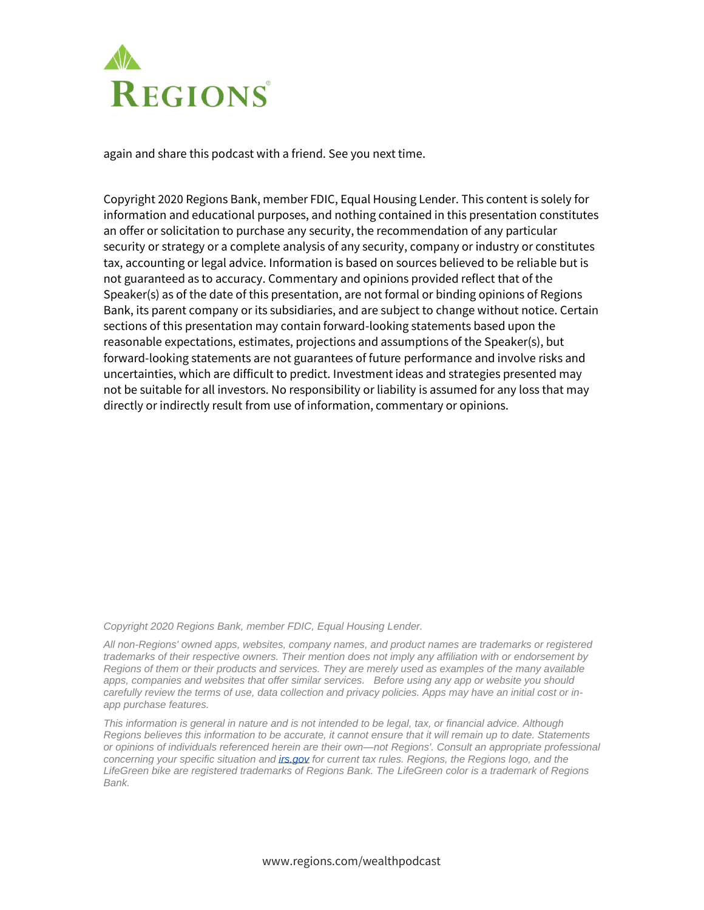

again and share this podcast with a friend. See you next time.

Copyright 2020 Regions Bank, member FDIC, Equal Housing Lender. This content is solely for information and educational purposes, and nothing contained in this presentation constitutes an offer or solicitation to purchase any security, the recommendation of any particular security or strategy or a complete analysis of any security, company or industry or constitutes tax, accounting or legal advice. Information is based on sources believed to be reliable but is not guaranteed as to accuracy. Commentary and opinions provided reflect that of the Speaker(s) as of the date of this presentation, are not formal or binding opinions of Regions Bank, its parent company or its subsidiaries, and are subject to change without notice. Certain sections of this presentation may contain forward-looking statements based upon the reasonable expectations, estimates, projections and assumptions of the Speaker(s), but forward-looking statements are not guarantees of future performance and involve risks and uncertainties, which are difficult to predict. Investment ideas and strategies presented may not be suitable for all investors. No responsibility or liability is assumed for any loss that may directly or indirectly result from use of information, commentary or opinions.

*Copyright 2020 Regions Bank, member FDIC, Equal Housing Lender.*

*All non-Regions' owned apps, websites, company names, and product names are trademarks or registered trademarks of their respective owners. Their mention does not imply any affiliation with or endorsement by Regions of them or their products and services. They are merely used as examples of the many available apps, companies and websites that offer similar services. Before using any app or website you should carefully review the terms of use, data collection and privacy policies. Apps may have an initial cost or inapp purchase features.*

*This information is general in nature and is not intended to be legal, tax, or financial advice. Although Regions believes this information to be accurate, it cannot ensure that it will remain up to date. Statements or opinions of individuals referenced herein are their own—not Regions'. Consult an appropriate professional concerning your specific situation and [irs.gov](http://irs.gov/) for current tax rules. Regions, the Regions logo, and the LifeGreen bike are registered trademarks of Regions Bank. The LifeGreen color is a trademark of Regions Bank.*